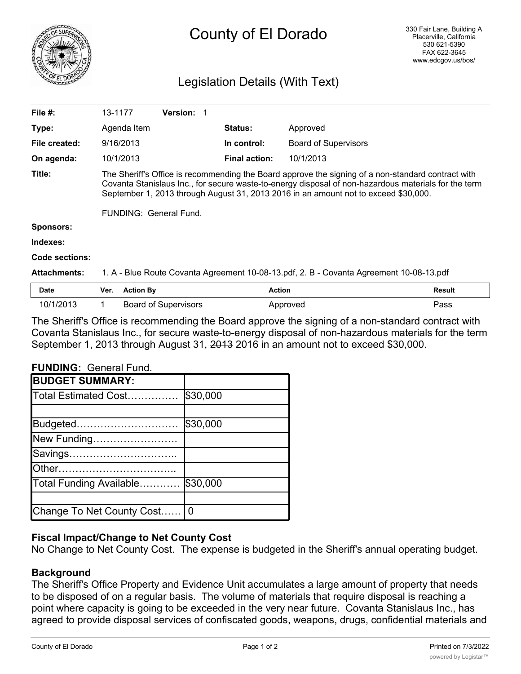

# County of El Dorado

# Legislation Details (With Text)

| File #:             | 13-1177                                                                                                                                                                                                                                                                                                                            | <b>Version:</b> |                      |                             |  |  |
|---------------------|------------------------------------------------------------------------------------------------------------------------------------------------------------------------------------------------------------------------------------------------------------------------------------------------------------------------------------|-----------------|----------------------|-----------------------------|--|--|
| Type:               | Agenda Item                                                                                                                                                                                                                                                                                                                        |                 | <b>Status:</b>       | Approved                    |  |  |
| File created:       | 9/16/2013                                                                                                                                                                                                                                                                                                                          |                 | In control:          | <b>Board of Supervisors</b> |  |  |
| On agenda:          | 10/1/2013                                                                                                                                                                                                                                                                                                                          |                 | <b>Final action:</b> | 10/1/2013                   |  |  |
| Title:              | The Sheriff's Office is recommending the Board approve the signing of a non-standard contract with<br>Covanta Stanislaus Inc., for secure waste-to-energy disposal of non-hazardous materials for the term<br>September 1, 2013 through August 31, 2013 2016 in an amount not to exceed \$30,000.<br><b>FUNDING: General Fund.</b> |                 |                      |                             |  |  |
| <b>Sponsors:</b>    |                                                                                                                                                                                                                                                                                                                                    |                 |                      |                             |  |  |
| Indexes:            |                                                                                                                                                                                                                                                                                                                                    |                 |                      |                             |  |  |
| Code sections:      |                                                                                                                                                                                                                                                                                                                                    |                 |                      |                             |  |  |
| <b>Attachments:</b> | 1. A - Blue Route Covanta Agreement 10-08-13.pdf, 2. B - Covanta Agreement 10-08-13.pdf                                                                                                                                                                                                                                            |                 |                      |                             |  |  |

| <b>Date</b> | Ver. | <b>Action By</b>            | Action   | <b>Result</b> |
|-------------|------|-----------------------------|----------|---------------|
| 10/1/2013   |      | <b>Board of Supervisors</b> | Approved | Pass          |

The Sheriff's Office is recommending the Board approve the signing of a non-standard contract with Covanta Stanislaus Inc., for secure waste-to-energy disposal of non-hazardous materials for the term September 1, 2013 through August 31, 2013 2016 in an amount not to exceed \$30,000.

# **FUNDING:** General Fund.

| <b>BUDGET SUMMARY:</b>    |          |
|---------------------------|----------|
| Total Estimated Cost      | \$30,000 |
|                           |          |
| Budgeted                  | \$30,000 |
| New Funding               |          |
| Savings                   |          |
| Other                     |          |
| Total Funding Available   | \$30,000 |
|                           |          |
| Change To Net County Cost | 0        |

# **Fiscal Impact/Change to Net County Cost**

No Change to Net County Cost. The expense is budgeted in the Sheriff's annual operating budget.

# **Background**

The Sheriff's Office Property and Evidence Unit accumulates a large amount of property that needs to be disposed of on a regular basis. The volume of materials that require disposal is reaching a point where capacity is going to be exceeded in the very near future. Covanta Stanislaus Inc., has agreed to provide disposal services of confiscated goods, weapons, drugs, confidential materials and